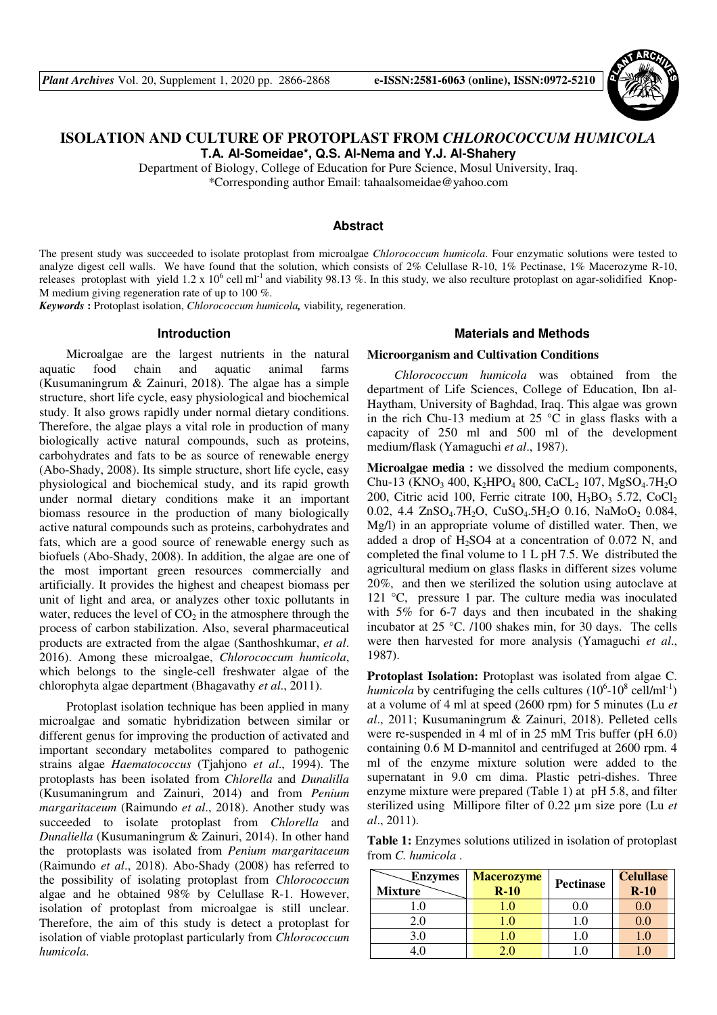

# **ISOLATION AND CULTURE OF PROTOPLAST FROM** *CHLOROCOCCUM HUMICOLA* **T.A. Al-Someidae\*, Q.S. Al-Nema and Y.J. Al-Shahery**

Department of Biology, College of Education for Pure Science, Mosul University, Iraq. \*Corresponding author Email: tahaalsomeidae@yahoo.com

### **Abstract**

The present study was succeeded to isolate protoplast from microalgae *Chlorococcum humicola*. Four enzymatic solutions were tested to analyze digest cell walls. We have found that the solution, which consists of 2% Celullase R-10, 1% Pectinase, 1% Macerozyme R-10, releases protoplast with yield 1.2 x  $10^6$  cell ml<sup>-1</sup> and viability 98.13 %. In this study, we also reculture protoplast on agar-solidified Knop-M medium giving regeneration rate of up to 100 %.

*Keywords* **:** Protoplast isolation, *Chlorococcum humicola,* viability*,* regeneration.

#### **Introduction**

Microalgae are the largest nutrients in the natural aquatic food chain and aquatic animal farms (Kusumaningrum & Zainuri, 2018). The algae has a simple structure, short life cycle, easy physiological and biochemical study. It also grows rapidly under normal dietary conditions. Therefore, the algae plays a vital role in production of many biologically active natural compounds, such as proteins, carbohydrates and fats to be as source of renewable energy (Abo-Shady, 2008). Its simple structure, short life cycle, easy physiological and biochemical study, and its rapid growth under normal dietary conditions make it an important biomass resource in the production of many biologically active natural compounds such as proteins, carbohydrates and fats, which are a good source of renewable energy such as biofuels (Abo-Shady, 2008). In addition, the algae are one of the most important green resources commercially and artificially. It provides the highest and cheapest biomass per unit of light and area, or analyzes other toxic pollutants in water, reduces the level of  $CO<sub>2</sub>$  in the atmosphere through the process of carbon stabilization. Also, several pharmaceutical products are extracted from the algae (Santhoshkumar, *et al*. 2016). Among these microalgae, *Chlorococcum humicola*, which belongs to the single-cell freshwater algae of the chlorophyta algae department (Bhagavathy *et al*., 2011).

Protoplast isolation technique has been applied in many microalgae and somatic hybridization between similar or different genus for improving the production of activated and important secondary metabolites compared to pathogenic strains algae *Haematococcus* (Tjahjono *et al*., 1994). The protoplasts has been isolated from *Chlorella* and *Dunalilla* (Kusumaningrum and Zainuri, 2014) and from *Penium margaritaceum* (Raimundo *et al*., 2018). Another study was succeeded to isolate protoplast from *Chlorella* and *Dunaliella* (Kusumaningrum & Zainuri, 2014). In other hand the protoplasts was isolated from *Penium margaritaceum* (Raimundo *et al*., 2018). Abo-Shady (2008) has referred to the possibility of isolating protoplast from *Chlorococcum* algae and he obtained 98% by Celullase R-1. However, isolation of protoplast from microalgae is still unclear. Therefore, the aim of this study is detect a protoplast for isolation of viable protoplast particularly from *Chlorococcum humicola*.

## **Materials and Methods**

#### **Microorganism and Cultivation Conditions**

*Chlorococcum humicola* was obtained from the department of Life Sciences, College of Education, Ibn al-Haytham, University of Baghdad, Iraq. This algae was grown in the rich Chu-13 medium at 25  $\degree$ C in glass flasks with a capacity of 250 ml and 500 ml of the development medium/flask (Yamaguchi *et al*., 1987).

**Microalgae media :** we dissolved the medium components, Chu-13 (KNO<sub>3</sub> 400, K<sub>2</sub>HPO<sub>4</sub> 800, CaCL<sub>2</sub> 107, MgSO<sub>4</sub>.7H<sub>2</sub>O 200, Citric acid 100, Ferric citrate 100,  $H_3BO_3$  5.72, CoCl<sub>2</sub> 0.02, 4.4 ZnSO<sub>4</sub>.7H<sub>2</sub>O, CuSO<sub>4</sub>.5H<sub>2</sub>O 0.16, NaMoO<sub>2</sub> 0.084, Mg/l) in an appropriate volume of distilled water. Then, we added a drop of  $H_2$ SO4 at a concentration of 0.072 N, and completed the final volume to 1 L pH 7.5. We distributed the agricultural medium on glass flasks in different sizes volume 20%, and then we sterilized the solution using autoclave at 121 °C, pressure 1 par. The culture media was inoculated with 5% for 6-7 days and then incubated in the shaking incubator at 25 °C. /100 shakes min, for 30 days. The cells were then harvested for more analysis (Yamaguchi *et al*., 1987).

**Protoplast Isolation:** Protoplast was isolated from algae C. *humicola* by centrifuging the cells cultures  $(10^6 \text{-} 10^8 \text{ cell/ml}^{-1})$ at a volume of 4 ml at speed (2600 rpm) for 5 minutes (Lu *et al*., 2011; Kusumaningrum & Zainuri, 2018). Pelleted cells were re-suspended in 4 ml of in 25 mM Tris buffer (pH 6.0) containing 0.6 M D-mannitol and centrifuged at 2600 rpm. 4 ml of the enzyme mixture solution were added to the supernatant in 9.0 cm dima. Plastic petri-dishes. Three enzyme mixture were prepared (Table 1) at pH 5.8, and filter sterilized using Millipore filter of 0.22 µm size pore (Lu *et al*., 2011).

**Table 1:** Enzymes solutions utilized in isolation of protoplast from *C. humicola* .

| <b>Enzymes</b><br><b>Mixture</b> | <b>Macerozyme</b><br>$R-10$ | Pectinase | <b>Celullase</b><br>$R-10$ |
|----------------------------------|-----------------------------|-----------|----------------------------|
|                                  |                             |           |                            |
| 2.0                              |                             |           |                            |
| 3.0                              |                             |           |                            |
|                                  |                             |           |                            |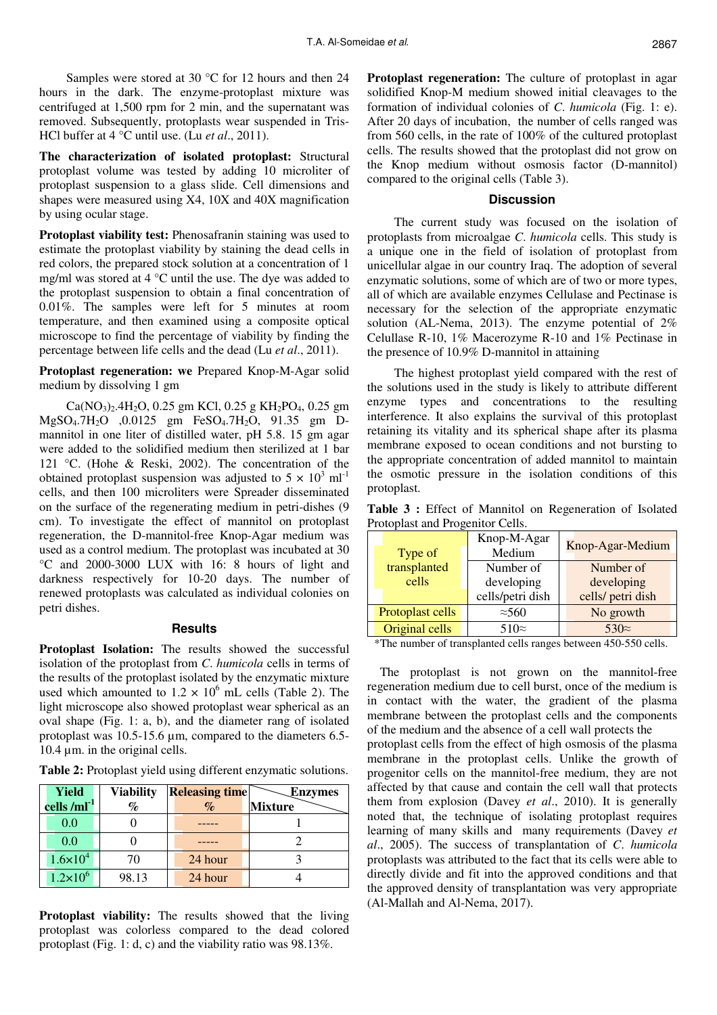Samples were stored at 30 °C for 12 hours and then 24 hours in the dark. The enzyme-protoplast mixture was centrifuged at 1,500 rpm for 2 min, and the supernatant was removed. Subsequently, protoplasts wear suspended in Tris-HCl buffer at 4 °C until use. (Lu *et al*., 2011).

**The characterization of isolated protoplast:** Structural protoplast volume was tested by adding 10 microliter of protoplast suspension to a glass slide. Cell dimensions and shapes were measured using X4, 10X and 40X magnification by using ocular stage.

**Protoplast viability test:** Phenosafranin staining was used to estimate the protoplast viability by staining the dead cells in red colors, the prepared stock solution at a concentration of 1 mg/ml was stored at 4 °C until the use. The dye was added to the protoplast suspension to obtain a final concentration of 0.01%. The samples were left for 5 minutes at room temperature, and then examined using a composite optical microscope to find the percentage of viability by finding the percentage between life cells and the dead (Lu *et al*., 2011).

**Protoplast regeneration: we** Prepared Knop-M-Agar solid medium by dissolving 1 gm

 $Ca(NO_3)_{2}$ .4H<sub>2</sub>O, 0.25 gm KCl, 0.25 g KH<sub>2</sub>PO<sub>4</sub>, 0.25 gm MgSO4.7H2O ,0.0125 gm FeSO4.7H2O, 91.35 gm Dmannitol in one liter of distilled water, pH 5.8. 15 gm agar were added to the solidified medium then sterilized at 1 bar 121 °C. (Hohe & Reski, 2002). The concentration of the obtained protoplast suspension was adjusted to  $5 \times 10^3$  ml<sup>-1</sup> cells, and then 100 microliters were Spreader disseminated on the surface of the regenerating medium in petri-dishes (9 cm). To investigate the effect of mannitol on protoplast regeneration, the D-mannitol-free Knop-Agar medium was used as a control medium. The protoplast was incubated at 30 °C and 2000-3000 LUX with 16: 8 hours of light and darkness respectively for 10-20 days. The number of renewed protoplasts was calculated as individual colonies on petri dishes.

#### **Results**

**Protoplast Isolation:** The results showed the successful isolation of the protoplast from *C*. *humicola* cells in terms of the results of the protoplast isolated by the enzymatic mixture used which amounted to  $1.2 \times 10^6$  mL cells (Table 2). The light microscope also showed protoplast wear spherical as an oval shape (Fig. 1: a, b), and the diameter rang of isolated protoplast was 10.5-15.6 µm, compared to the diameters 6.5- 10.4 µm. in the original cells.

**Table 2:** Protoplast yield using different enzymatic solutions.

| Yield               | <b>Viability</b> | <b>Releasing time</b> | <b>Enzymes</b> |
|---------------------|------------------|-----------------------|----------------|
| cells / $ml^{-1}$   | $\%$             | $\%$                  | <b>Mixture</b> |
| 0.0                 |                  |                       |                |
| 0.0                 |                  |                       |                |
| $1.6 \times 10^{4}$ | 70               | 24 hour               |                |
| $1.2 \times 10^6$   | 98.13            | 24 hour               |                |

**Protoplast viability:** The results showed that the living protoplast was colorless compared to the dead colored protoplast (Fig. 1: d, c) and the viability ratio was 98.13%.

**Protoplast regeneration:** The culture of protoplast in agar solidified Knop-M medium showed initial cleavages to the formation of individual colonies of *C*. *humicola* (Fig. 1: e). After 20 days of incubation, the number of cells ranged was from 560 cells, in the rate of 100% of the cultured protoplast cells. The results showed that the protoplast did not grow on the Knop medium without osmosis factor (D-mannitol) compared to the original cells (Table 3).

## **Discussion**

The current study was focused on the isolation of protoplasts from microalgae *C*. *humicola* cells. This study is a unique one in the field of isolation of protoplast from unicellular algae in our country Iraq. The adoption of several enzymatic solutions, some of which are of two or more types, all of which are available enzymes Cellulase and Pectinase is necessary for the selection of the appropriate enzymatic solution (AL-Nema, 2013). The enzyme potential of 2% Celullase R-10, 1% Macerozyme R-10 and 1% Pectinase in the presence of 10.9% D-mannitol in attaining

The highest protoplast yield compared with the rest of the solutions used in the study is likely to attribute different enzyme types and concentrations to the resulting interference. It also explains the survival of this protoplast retaining its vitality and its spherical shape after its plasma membrane exposed to ocean conditions and not bursting to the appropriate concentration of added mannitol to maintain the osmotic pressure in the isolation conditions of this protoplast.

**Table 3 :** Effect of Mannitol on Regeneration of Isolated Protoplast and Progenitor Cells.

| Type of          | Knop-M-Agar<br>Medium | Knop-Agar-Medium  |  |
|------------------|-----------------------|-------------------|--|
| transplanted     | Number of             | Number of         |  |
| cells            | developing            | developing        |  |
|                  | cells/petri dish      | cells/ petri dish |  |
| Protoplast cells | $\approx 560$         | No growth         |  |
| Original cells   | $510\approx$          | $530\approx$      |  |

\*The number of transplanted cells ranges between 450-550 cells.

 The protoplast is not grown on the mannitol-free regeneration medium due to cell burst, once of the medium is in contact with the water, the gradient of the plasma membrane between the protoplast cells and the components of the medium and the absence of a cell wall protects the protoplast cells from the effect of high osmosis of the plasma membrane in the protoplast cells. Unlike the growth of progenitor cells on the mannitol-free medium, they are not affected by that cause and contain the cell wall that protects them from explosion (Davey *et al*., 2010). It is generally noted that, the technique of isolating protoplast requires learning of many skills and many requirements (Davey *et al*., 2005). The success of transplantation of *C*. *humicola* protoplasts was attributed to the fact that its cells were able to directly divide and fit into the approved conditions and that the approved density of transplantation was very appropriate (Al-Mallah and Al-Nema, 2017).